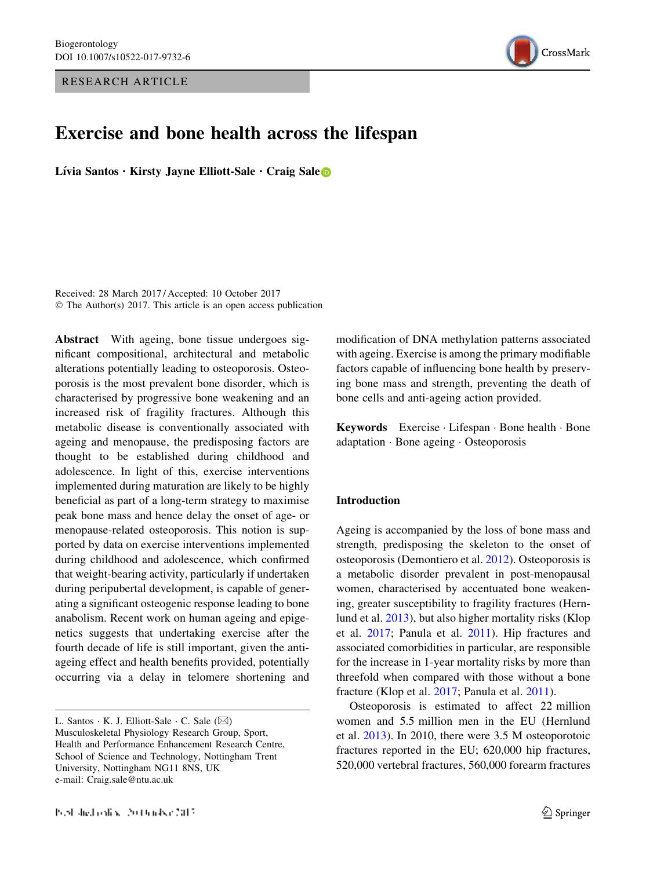RESEARCH ARTICLE



# Exercise and bone health across the lifespan

Lívia Santos · Kirsty Jayn[e](http://orcid.org/0000-0002-5816-4169) Elliott-Sale · Craig Sale

Received: 28 March 2017 / Accepted: 10 October 2017 © The Author(s) 2017. This article is an open access publication

Abstract With ageing, bone tissue undergoes significant compositional, architectural and metabolic alterations potentially leading to osteoporosis. Osteoporosis is the most prevalent bone disorder, which is characterised by progressive bone weakening and an increased risk of fragility fractures. Although this metabolic disease is conventionally associated with ageing and menopause, the predisposing factors are thought to be established during childhood and adolescence. In light of this, exercise interventions implemented during maturation are likely to be highly beneficial as part of a long-term strategy to maximise peak bone mass and hence delay the onset of age- or menopause-related osteoporosis. This notion is supported by data on exercise interventions implemented during childhood and adolescence, which confirmed that weight-bearing activity, particularly if undertaken during peripubertal development, is capable of generating a significant osteogenic response leading to bone anabolism. Recent work on human ageing and epigenetics suggests that undertaking exercise after the fourth decade of life is still important, given the antiageing effect and health benefits provided, potentially occurring via a delay in telomere shortening and

L. Santos  $\cdot$  K. J. Elliott-Sale  $\cdot$  C. Sale ( $\boxtimes$ )

modification of DNA methylation patterns associated with ageing. Exercise is among the primary modifiable factors capable of influencing bone health by preserving bone mass and strength, preventing the death of bone cells and anti-ageing action provided.

Keywords Exercise · Lifespan · Bone health · Bone adaptation - Bone ageing - Osteoporosis

## Introduction

Ageing is accompanied by the loss of bone mass and strength, predisposing the skeleton to the onset of osteoporosis (Demontiero et al. [2012](#page-12-0)). Osteoporosis is a metabolic disorder prevalent in post-menopausal women, characterised by accentuated bone weakening, greater susceptibility to fragility fractures (Hernlund et al. [2013\)](#page-12-0), but also higher mortality risks (Klop et al. [2017](#page-13-0); Panula et al. [2011](#page-14-0)). Hip fractures and associated comorbidities in particular, are responsible for the increase in 1-year mortality risks by more than threefold when compared with those without a bone fracture (Klop et al. [2017;](#page-13-0) Panula et al. [2011\)](#page-14-0).

Osteoporosis is estimated to affect 22 million women and 5.5 million men in the EU (Hernlund et al. [2013\)](#page-12-0). In 2010, there were 3.5 M osteoporotoic fractures reported in the EU; 620,000 hip fractures, 520,000 vertebral fractures, 560,000 forearm fractures

Musculoskeletal Physiology Research Group, Sport, Health and Performance Enhancement Research Centre, School of Science and Technology, Nottingham Trent University, Nottingham NG11 8NS, UK e-mail: Craig.sale@ntu.ac.uk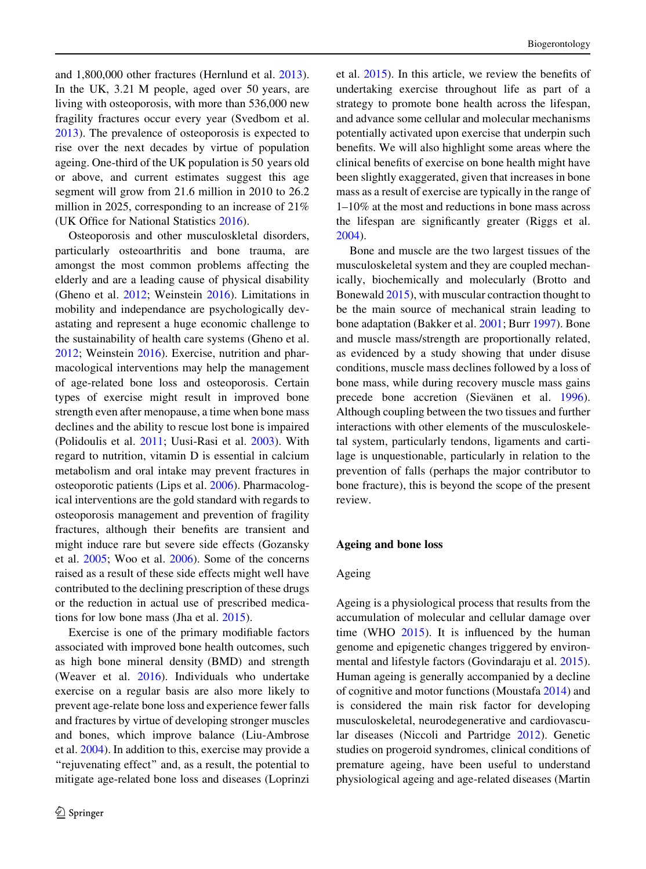and 1,800,000 other fractures (Hernlund et al. [2013](#page-12-0)). In the UK, 3.21 M people, aged over 50 years, are living with osteoporosis, with more than 536,000 new fragility fractures occur every year (Svedbom et al. [2013\)](#page-14-0). The prevalence of osteoporosis is expected to rise over the next decades by virtue of population ageing. One-third of the UK population is 50 years old or above, and current estimates suggest this age segment will grow from 21.6 million in 2010 to 26.2 million in 2025, corresponding to an increase of 21% (UK Office for National Statistics [2016\)](#page-14-0).

Osteoporosis and other musculoskletal disorders, particularly osteoarthritis and bone trauma, are amongst the most common problems affecting the elderly and are a leading cause of physical disability (Gheno et al. [2012](#page-12-0); Weinstein [2016](#page-15-0)). Limitations in mobility and independance are psychologically devastating and represent a huge economic challenge to the sustainability of health care systems (Gheno et al. [2012;](#page-12-0) Weinstein [2016\)](#page-15-0). Exercise, nutrition and pharmacological interventions may help the management of age-related bone loss and osteoporosis. Certain types of exercise might result in improved bone strength even after menopause, a time when bone mass declines and the ability to rescue lost bone is impaired (Polidoulis et al. [2011;](#page-14-0) Uusi-Rasi et al. [2003\)](#page-14-0). With regard to nutrition, vitamin D is essential in calcium metabolism and oral intake may prevent fractures in osteoporotic patients (Lips et al. [2006\)](#page-13-0). Pharmacological interventions are the gold standard with regards to osteoporosis management and prevention of fragility fractures, although their benefits are transient and might induce rare but severe side effects (Gozansky et al. [2005;](#page-12-0) Woo et al. [2006\)](#page-15-0). Some of the concerns raised as a result of these side effects might well have contributed to the declining prescription of these drugs or the reduction in actual use of prescribed medications for low bone mass (Jha et al. [2015](#page-12-0)).

Exercise is one of the primary modifiable factors associated with improved bone health outcomes, such as high bone mineral density (BMD) and strength (Weaver et al. [2016\)](#page-15-0). Individuals who undertake exercise on a regular basis are also more likely to prevent age-relate bone loss and experience fewer falls and fractures by virtue of developing stronger muscles and bones, which improve balance (Liu-Ambrose et al. [2004](#page-13-0)). In addition to this, exercise may provide a ''rejuvenating effect'' and, as a result, the potential to mitigate age-related bone loss and diseases (Loprinzi

et al. [2015](#page-13-0)). In this article, we review the benefits of undertaking exercise throughout life as part of a strategy to promote bone health across the lifespan, and advance some cellular and molecular mechanisms potentially activated upon exercise that underpin such benefits. We will also highlight some areas where the clinical benefits of exercise on bone health might have been slightly exaggerated, given that increases in bone mass as a result of exercise are typically in the range of 1–10% at the most and reductions in bone mass across the lifespan are significantly greater (Riggs et al. [2004\)](#page-14-0).

Bone and muscle are the two largest tissues of the musculoskeletal system and they are coupled mechanically, biochemically and molecularly (Brotto and Bonewald [2015](#page-11-0)), with muscular contraction thought to be the main source of mechanical strain leading to bone adaptation (Bakker et al. [2001;](#page-11-0) Burr [1997](#page-11-0)). Bone and muscle mass/strength are proportionally related, as evidenced by a study showing that under disuse conditions, muscle mass declines followed by a loss of bone mass, while during recovery muscle mass gains precede bone accretion (Sievanen et al. [1996](#page-14-0)). Although coupling between the two tissues and further interactions with other elements of the musculoskeletal system, particularly tendons, ligaments and cartilage is unquestionable, particularly in relation to the prevention of falls (perhaps the major contributor to bone fracture), this is beyond the scope of the present review.

#### Ageing and bone loss

# Ageing

Ageing is a physiological process that results from the accumulation of molecular and cellular damage over time (WHO [2015](#page-15-0)). It is influenced by the human genome and epigenetic changes triggered by environmental and lifestyle factors (Govindaraju et al. [2015](#page-12-0)). Human ageing is generally accompanied by a decline of cognitive and motor functions (Moustafa [2014](#page-13-0)) and is considered the main risk factor for developing musculoskeletal, neurodegenerative and cardiovascular diseases (Niccoli and Partridge [2012](#page-14-0)). Genetic studies on progeroid syndromes, clinical conditions of premature ageing, have been useful to understand physiological ageing and age-related diseases (Martin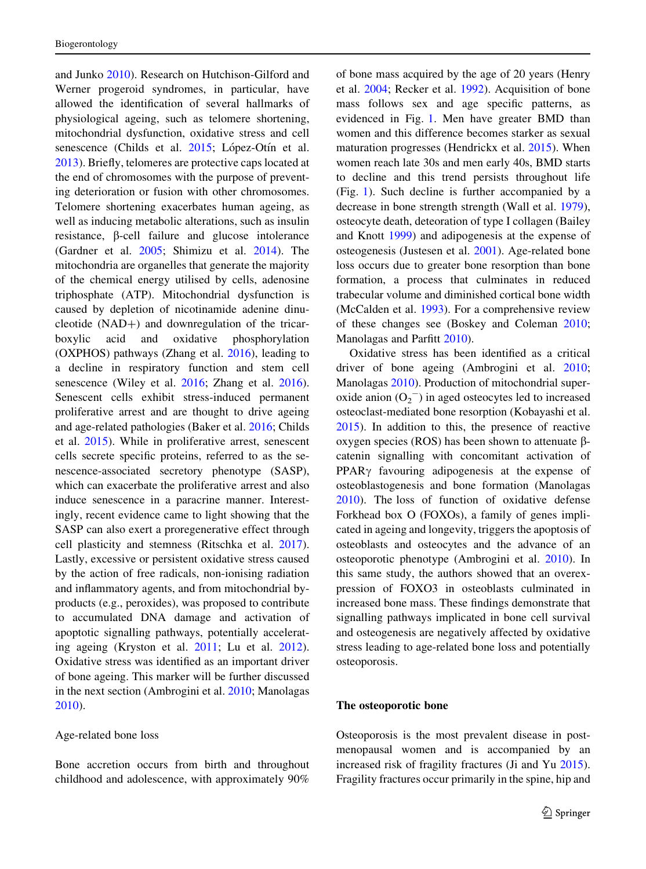and Junko [2010](#page-13-0)). Research on Hutchison-Gilford and Werner progeroid syndromes, in particular, have allowed the identification of several hallmarks of physiological ageing, such as telomere shortening, mitochondrial dysfunction, oxidative stress and cell senescence (Childs et al. [2015;](#page-12-0) López-Otín et al. [2013\)](#page-13-0). Briefly, telomeres are protective caps located at the end of chromosomes with the purpose of preventing deterioration or fusion with other chromosomes. Telomere shortening exacerbates human ageing, as well as inducing metabolic alterations, such as insulin resistance, b-cell failure and glucose intolerance (Gardner et al. [2005;](#page-12-0) Shimizu et al. [2014\)](#page-14-0). The mitochondria are organelles that generate the majority of the chemical energy utilised by cells, adenosine triphosphate (ATP). Mitochondrial dysfunction is caused by depletion of nicotinamide adenine dinucleotide  $(NAD+)$  and downregulation of the tricarboxylic acid and oxidative phosphorylation (OXPHOS) pathways (Zhang et al. [2016\)](#page-15-0), leading to a decline in respiratory function and stem cell senescence (Wiley et al. [2016;](#page-15-0) Zhang et al. [2016](#page-15-0)). Senescent cells exhibit stress-induced permanent proliferative arrest and are thought to drive ageing and age-related pathologies (Baker et al. [2016;](#page-11-0) Childs et al. [2015\)](#page-12-0). While in proliferative arrest, senescent cells secrete specific proteins, referred to as the senescence-associated secretory phenotype (SASP), which can exacerbate the proliferative arrest and also induce senescence in a paracrine manner. Interestingly, recent evidence came to light showing that the SASP can also exert a proregenerative effect through cell plasticity and stemness (Ritschka et al. [2017](#page-14-0)). Lastly, excessive or persistent oxidative stress caused by the action of free radicals, non-ionising radiation and inflammatory agents, and from mitochondrial byproducts (e.g., peroxides), was proposed to contribute to accumulated DNA damage and activation of apoptotic signalling pathways, potentially accelerating ageing (Kryston et al. [2011;](#page-13-0) Lu et al. [2012](#page-13-0)). Oxidative stress was identified as an important driver of bone ageing. This marker will be further discussed in the next section (Ambrogini et al. [2010](#page-11-0); Manolagas [2010\)](#page-13-0).

#### Age-related bone loss

Bone accretion occurs from birth and throughout childhood and adolescence, with approximately 90%

of bone mass acquired by the age of 20 years (Henry et al. [2004;](#page-12-0) Recker et al. [1992](#page-14-0)). Acquisition of bone mass follows sex and age specific patterns, as evidenced in Fig. [1.](#page-3-0) Men have greater BMD than women and this difference becomes starker as sexual maturation progresses (Hendrickx et al. [2015\)](#page-12-0). When women reach late 30s and men early 40s, BMD starts to decline and this trend persists throughout life (Fig. [1](#page-3-0)). Such decline is further accompanied by a decrease in bone strength strength (Wall et al. [1979](#page-14-0)), osteocyte death, deteoration of type I collagen (Bailey and Knott [1999](#page-11-0)) and adipogenesis at the expense of osteogenesis (Justesen et al. [2001\)](#page-13-0). Age-related bone loss occurs due to greater bone resorption than bone formation, a process that culminates in reduced trabecular volume and diminished cortical bone width (McCalden et al. [1993](#page-13-0)). For a comprehensive review of these changes see (Boskey and Coleman [2010](#page-11-0); Manolagas and Parfitt [2010](#page-13-0)).

Oxidative stress has been identified as a critical driver of bone ageing (Ambrogini et al. [2010](#page-11-0); Manolagas [2010](#page-13-0)). Production of mitochondrial superoxide anion  $(O_2^-)$  in aged osteocytes led to increased osteoclast-mediated bone resorption (Kobayashi et al. [2015\)](#page-13-0). In addition to this, the presence of reactive oxygen species (ROS) has been shown to attenuate  $\beta$ catenin signalling with concomitant activation of  $PPAR\gamma$  favouring adipogenesis at the expense of osteoblastogenesis and bone formation (Manolagas [2010\)](#page-13-0). The loss of function of oxidative defense Forkhead box O (FOXOs), a family of genes implicated in ageing and longevity, triggers the apoptosis of osteoblasts and osteocytes and the advance of an osteoporotic phenotype (Ambrogini et al. [2010\)](#page-11-0). In this same study, the authors showed that an overexpression of FOXO3 in osteoblasts culminated in increased bone mass. These findings demonstrate that signalling pathways implicated in bone cell survival and osteogenesis are negatively affected by oxidative stress leading to age-related bone loss and potentially osteoporosis.

#### The osteoporotic bone

Osteoporosis is the most prevalent disease in postmenopausal women and is accompanied by an increased risk of fragility fractures (Ji and Yu [2015](#page-12-0)). Fragility fractures occur primarily in the spine, hip and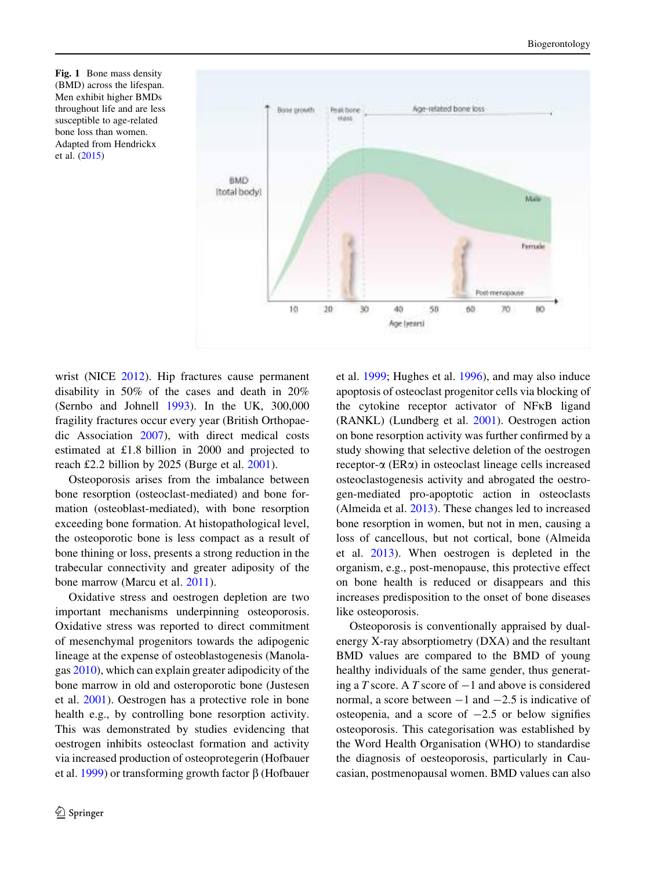<span id="page-3-0"></span>Fig. 1 Bone mass density (BMD) across the lifespan. Men exhibit higher BMDs throughout life and are less susceptible to age-related bone loss than women. Adapted from Hendrickx et al. ([2015\)](#page-12-0)



wrist (NICE [2012\)](#page-14-0). Hip fractures cause permanent disability in 50% of the cases and death in 20% (Sernbo and Johnell [1993\)](#page-14-0). In the UK, 300,000 fragility fractures occur every year (British Orthopaedic Association [2007\)](#page-11-0), with direct medical costs estimated at £1.8 billion in 2000 and projected to reach £2.2 billion by 2025 (Burge et al. [2001\)](#page-11-0).

Osteoporosis arises from the imbalance between bone resorption (osteoclast-mediated) and bone formation (osteoblast-mediated), with bone resorption exceeding bone formation. At histopathological level, the osteoporotic bone is less compact as a result of bone thining or loss, presents a strong reduction in the trabecular connectivity and greater adiposity of the bone marrow (Marcu et al. [2011\)](#page-13-0).

Oxidative stress and oestrogen depletion are two important mechanisms underpinning osteoporosis. Oxidative stress was reported to direct commitment of mesenchymal progenitors towards the adipogenic lineage at the expense of osteoblastogenesis (Manolagas [2010\)](#page-13-0), which can explain greater adipodicity of the bone marrow in old and osteroporotic bone (Justesen et al. [2001\)](#page-13-0). Oestrogen has a protective role in bone health e.g., by controlling bone resorption activity. This was demonstrated by studies evidencing that oestrogen inhibits osteoclast formation and activity via increased production of osteoprotegerin (Hofbauer et al. [1999\)](#page-12-0) or transforming growth factor  $\beta$  (Hofbauer et al. [1999](#page-12-0); Hughes et al. [1996\)](#page-12-0), and may also induce apoptosis of osteoclast progenitor cells via blocking of the cytokine receptor activator of NFKB ligand (RANKL) (Lundberg et al. [2001\)](#page-13-0). Oestrogen action on bone resorption activity was further confirmed by a study showing that selective deletion of the oestrogen receptor- $\alpha$  (ER $\alpha$ ) in osteoclast lineage cells increased osteoclastogenesis activity and abrogated the oestrogen-mediated pro-apoptotic action in osteoclasts (Almeida et al. [2013](#page-11-0)). These changes led to increased bone resorption in women, but not in men, causing a loss of cancellous, but not cortical, bone (Almeida et al. [2013](#page-11-0)). When oestrogen is depleted in the organism, e.g., post-menopause, this protective effect on bone health is reduced or disappears and this increases predisposition to the onset of bone diseases like osteoporosis.

Osteoporosis is conventionally appraised by dualenergy X-ray absorptiometry (DXA) and the resultant BMD values are compared to the BMD of young healthy individuals of the same gender, thus generating a T score. A T score of  $-1$  and above is considered normal, a score between  $-1$  and  $-2.5$  is indicative of osteopenia, and a score of  $-2.5$  or below signifies osteoporosis. This categorisation was established by the Word Health Organisation (WHO) to standardise the diagnosis of oesteoporosis, particularly in Caucasian, postmenopausal women. BMD values can also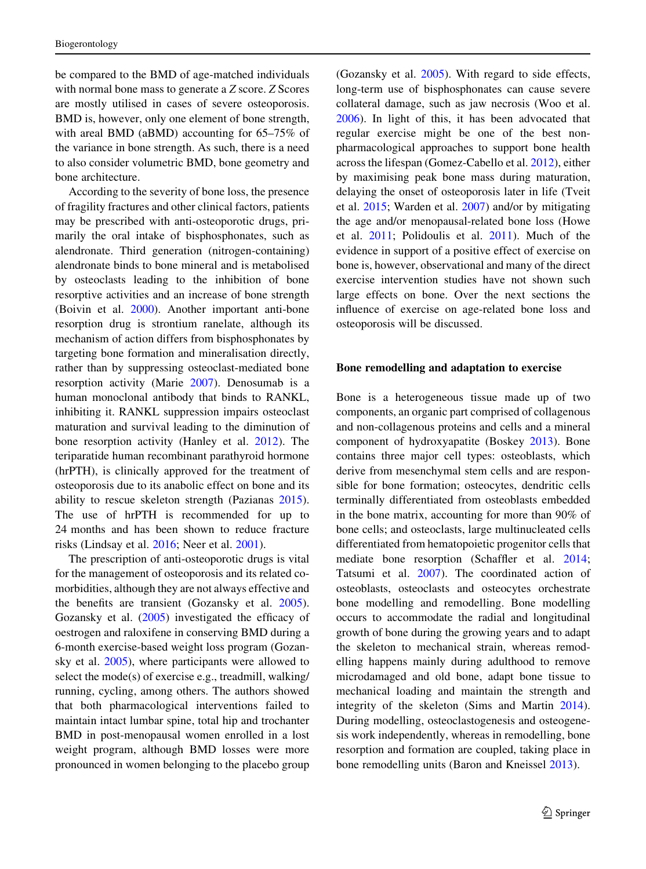be compared to the BMD of age-matched individuals with normal bone mass to generate a Z score. Z Scores are mostly utilised in cases of severe osteoporosis. BMD is, however, only one element of bone strength, with areal BMD (aBMD) accounting for 65–75% of the variance in bone strength. As such, there is a need to also consider volumetric BMD, bone geometry and bone architecture.

According to the severity of bone loss, the presence of fragility fractures and other clinical factors, patients may be prescribed with anti-osteoporotic drugs, primarily the oral intake of bisphosphonates, such as alendronate. Third generation (nitrogen-containing) alendronate binds to bone mineral and is metabolised by osteoclasts leading to the inhibition of bone resorptive activities and an increase of bone strength (Boivin et al. [2000\)](#page-11-0). Another important anti-bone resorption drug is strontium ranelate, although its mechanism of action differs from bisphosphonates by targeting bone formation and mineralisation directly, rather than by suppressing osteoclast-mediated bone resorption activity (Marie [2007](#page-13-0)). Denosumab is a human monoclonal antibody that binds to RANKL, inhibiting it. RANKL suppression impairs osteoclast maturation and survival leading to the diminution of bone resorption activity (Hanley et al. [2012\)](#page-12-0). The teriparatide human recombinant parathyroid hormone (hrPTH), is clinically approved for the treatment of osteoporosis due to its anabolic effect on bone and its ability to rescue skeleton strength (Pazianas [2015](#page-14-0)). The use of hrPTH is recommended for up to 24 months and has been shown to reduce fracture risks (Lindsay et al. [2016](#page-13-0); Neer et al. [2001\)](#page-13-0).

The prescription of anti-osteoporotic drugs is vital for the management of osteoporosis and its related comorbidities, although they are not always effective and the benefits are transient (Gozansky et al. [2005](#page-12-0)). Gozansky et al. [\(2005](#page-12-0)) investigated the efficacy of oestrogen and raloxifene in conserving BMD during a 6-month exercise-based weight loss program (Gozansky et al. [2005](#page-12-0)), where participants were allowed to select the mode(s) of exercise e.g., treadmill, walking/ running, cycling, among others. The authors showed that both pharmacological interventions failed to maintain intact lumbar spine, total hip and trochanter BMD in post-menopausal women enrolled in a lost weight program, although BMD losses were more pronounced in women belonging to the placebo group (Gozansky et al. [2005\)](#page-12-0). With regard to side effects, long-term use of bisphosphonates can cause severe collateral damage, such as jaw necrosis (Woo et al. [2006\)](#page-15-0). In light of this, it has been advocated that regular exercise might be one of the best nonpharmacological approaches to support bone health across the lifespan (Gomez-Cabello et al. [2012\)](#page-12-0), either by maximising peak bone mass during maturation, delaying the onset of osteoporosis later in life (Tveit et al. [2015;](#page-14-0) Warden et al. [2007](#page-14-0)) and/or by mitigating the age and/or menopausal-related bone loss (Howe et al. [2011;](#page-12-0) Polidoulis et al. [2011](#page-14-0)). Much of the evidence in support of a positive effect of exercise on bone is, however, observational and many of the direct exercise intervention studies have not shown such large effects on bone. Over the next sections the influence of exercise on age-related bone loss and osteoporosis will be discussed.

#### Bone remodelling and adaptation to exercise

Bone is a heterogeneous tissue made up of two components, an organic part comprised of collagenous and non-collagenous proteins and cells and a mineral component of hydroxyapatite (Boskey [2013\)](#page-11-0). Bone contains three major cell types: osteoblasts, which derive from mesenchymal stem cells and are responsible for bone formation; osteocytes, dendritic cells terminally differentiated from osteoblasts embedded in the bone matrix, accounting for more than 90% of bone cells; and osteoclasts, large multinucleated cells differentiated from hematopoietic progenitor cells that mediate bone resorption (Schaffler et al. [2014](#page-14-0); Tatsumi et al. [2007\)](#page-14-0). The coordinated action of osteoblasts, osteoclasts and osteocytes orchestrate bone modelling and remodelling. Bone modelling occurs to accommodate the radial and longitudinal growth of bone during the growing years and to adapt the skeleton to mechanical strain, whereas remodelling happens mainly during adulthood to remove microdamaged and old bone, adapt bone tissue to mechanical loading and maintain the strength and integrity of the skeleton (Sims and Martin [2014](#page-14-0)). During modelling, osteoclastogenesis and osteogenesis work independently, whereas in remodelling, bone resorption and formation are coupled, taking place in bone remodelling units (Baron and Kneissel [2013\)](#page-11-0).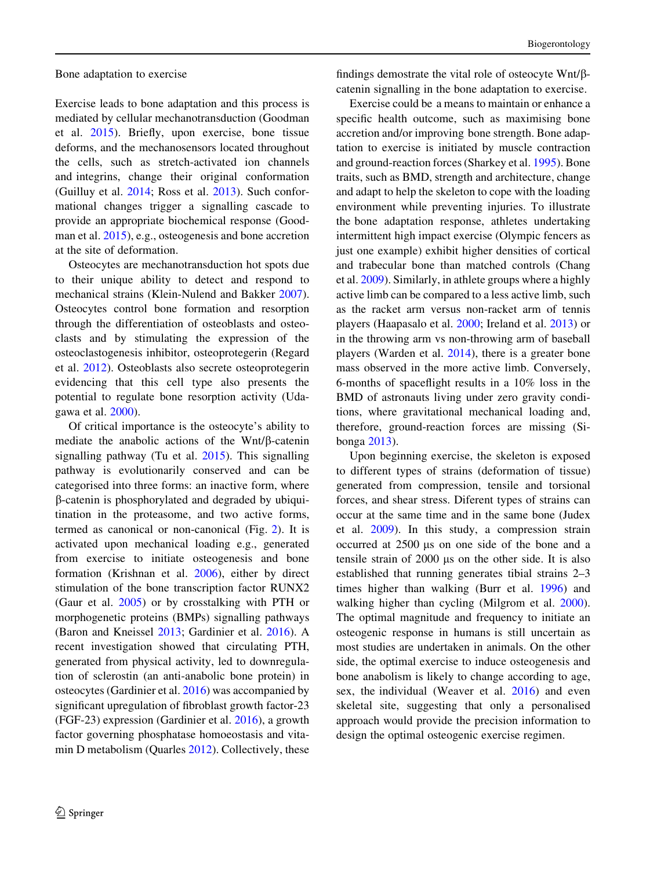Exercise leads to bone adaptation and this process is mediated by cellular mechanotransduction (Goodman et al. [2015\)](#page-12-0). Briefly, upon exercise, bone tissue deforms, and the mechanosensors located throughout the cells, such as stretch-activated ion channels and integrins, change their original conformation (Guilluy et al. [2014;](#page-12-0) Ross et al. [2013](#page-14-0)). Such conformational changes trigger a signalling cascade to provide an appropriate biochemical response (Goodman et al. [2015](#page-12-0)), e.g., osteogenesis and bone accretion at the site of deformation.

Osteocytes are mechanotransduction hot spots due to their unique ability to detect and respond to mechanical strains (Klein-Nulend and Bakker [2007](#page-13-0)). Osteocytes control bone formation and resorption through the differentiation of osteoblasts and osteoclasts and by stimulating the expression of the osteoclastogenesis inhibitor, osteoprotegerin (Regard et al. [2012\)](#page-14-0). Osteoblasts also secrete osteoprotegerin evidencing that this cell type also presents the potential to regulate bone resorption activity (Udagawa et al. [2000](#page-14-0)).

Of critical importance is the osteocyte's ability to mediate the anabolic actions of the Wnt/ $\beta$ -catenin signalling pathway (Tu et al. [2015](#page-14-0)). This signalling pathway is evolutionarily conserved and can be categorised into three forms: an inactive form, where b-catenin is phosphorylated and degraded by ubiquitination in the proteasome, and two active forms, termed as canonical or non-canonical (Fig. [2](#page-6-0)). It is activated upon mechanical loading e.g., generated from exercise to initiate osteogenesis and bone formation (Krishnan et al. [2006\)](#page-13-0), either by direct stimulation of the bone transcription factor RUNX2 (Gaur et al. [2005](#page-12-0)) or by crosstalking with PTH or morphogenetic proteins (BMPs) signalling pathways (Baron and Kneissel [2013;](#page-11-0) Gardinier et al. [2016\)](#page-12-0). A recent investigation showed that circulating PTH, generated from physical activity, led to downregulation of sclerostin (an anti-anabolic bone protein) in osteocytes (Gardinier et al. [2016\)](#page-12-0) was accompanied by significant upregulation of fibroblast growth factor-23 (FGF-23) expression (Gardinier et al. [2016\)](#page-12-0), a growth factor governing phosphatase homoeostasis and vitamin D metabolism (Quarles [2012\)](#page-14-0). Collectively, these findings demostrate the vital role of osteocyte  $Wnt/\beta$ catenin signalling in the bone adaptation to exercise.

Exercise could be a means to maintain or enhance a specific health outcome, such as maximising bone accretion and/or improving bone strength. Bone adaptation to exercise is initiated by muscle contraction and ground-reaction forces (Sharkey et al. [1995\)](#page-14-0). Bone traits, such as BMD, strength and architecture, change and adapt to help the skeleton to cope with the loading environment while preventing injuries. To illustrate the bone adaptation response, athletes undertaking intermittent high impact exercise (Olympic fencers as just one example) exhibit higher densities of cortical and trabecular bone than matched controls (Chang et al. [2009\)](#page-12-0). Similarly, in athlete groups where a highly active limb can be compared to a less active limb, such as the racket arm versus non-racket arm of tennis players (Haapasalo et al. [2000;](#page-12-0) Ireland et al. [2013\)](#page-12-0) or in the throwing arm vs non-throwing arm of baseball players (Warden et al. [2014](#page-14-0)), there is a greater bone mass observed in the more active limb. Conversely, 6-months of spaceflight results in a 10% loss in the BMD of astronauts living under zero gravity conditions, where gravitational mechanical loading and, therefore, ground-reaction forces are missing (Sibonga [2013](#page-14-0)).

Upon beginning exercise, the skeleton is exposed to different types of strains (deformation of tissue) generated from compression, tensile and torsional forces, and shear stress. Diferent types of strains can occur at the same time and in the same bone (Judex et al. [2009](#page-12-0)). In this study, a compression strain occurred at 2500 µs on one side of the bone and a tensile strain of 2000 µs on the other side. It is also established that running generates tibial strains 2–3 times higher than walking (Burr et al. [1996](#page-11-0)) and walking higher than cycling (Milgrom et al. [2000](#page-13-0)). The optimal magnitude and frequency to initiate an osteogenic response in humans is still uncertain as most studies are undertaken in animals. On the other side, the optimal exercise to induce osteogenesis and bone anabolism is likely to change according to age, sex, the individual (Weaver et al. [2016\)](#page-15-0) and even skeletal site, suggesting that only a personalised approach would provide the precision information to design the optimal osteogenic exercise regimen.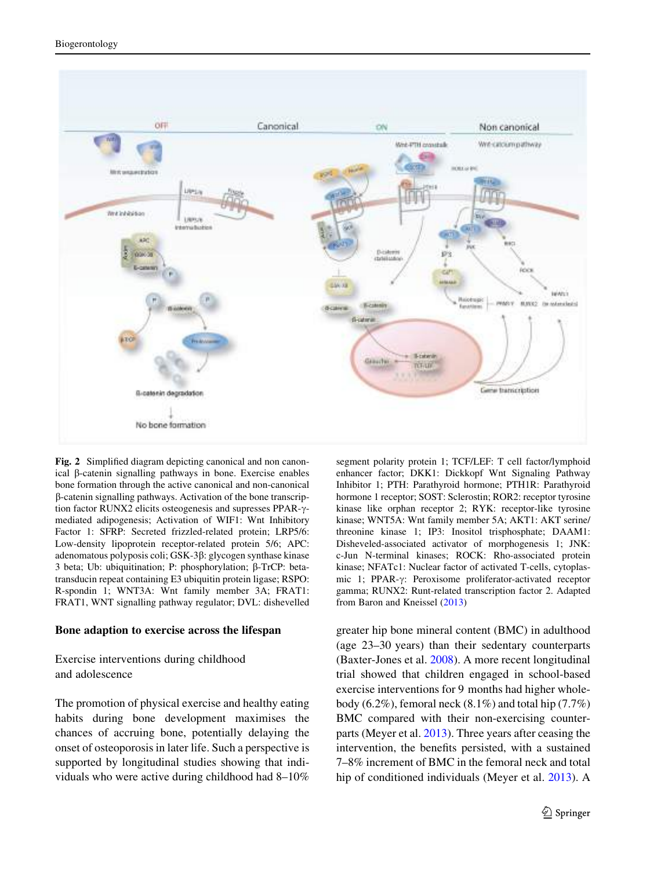<span id="page-6-0"></span>

Fig. 2 Simplified diagram depicting canonical and non canonical  $\beta$ -catenin signalling pathways in bone. Exercise enables bone formation through the active canonical and non-canonical b-catenin signalling pathways. Activation of the bone transcription factor RUNX2 elicits osteogenesis and supresses PPAR- $\gamma$ mediated adipogenesis; Activation of WIF1: Wnt Inhibitory Factor 1: SFRP: Secreted frizzled-related protein; LRP5/6: Low-density lipoprotein receptor-related protein 5/6; APC: adenomatous polyposis coli; GSK-3b: glycogen synthase kinase 3 beta; Ub: ubiquitination; P: phosphorylation; β-TrCP: betatransducin repeat containing E3 ubiquitin protein ligase; RSPO: R-spondin 1; WNT3A: Wnt family member 3A; FRAT1: FRAT1, WNT signalling pathway regulator; DVL: dishevelled

#### Bone adaption to exercise across the lifespan

Exercise interventions during childhood and adolescence

The promotion of physical exercise and healthy eating habits during bone development maximises the chances of accruing bone, potentially delaying the onset of osteoporosis in later life. Such a perspective is supported by longitudinal studies showing that individuals who were active during childhood had 8–10% segment polarity protein 1; TCF/LEF: T cell factor/lymphoid enhancer factor; DKK1: Dickkopf Wnt Signaling Pathway Inhibitor 1; PTH: Parathyroid hormone; PTH1R: Parathyroid hormone 1 receptor; SOST: Sclerostin; ROR2: receptor tyrosine kinase like orphan receptor 2; RYK: receptor-like tyrosine kinase; WNT5A: Wnt family member 5A; AKT1: AKT serine/ threonine kinase 1; IP3: Inositol trisphosphate; DAAM1: Disheveled-associated activator of morphogenesis 1; JNK: c-Jun N-terminal kinases; ROCK: Rho-associated protein kinase; NFATc1: Nuclear factor of activated T-cells, cytoplasmic 1; PPAR-γ: Peroxisome proliferator-activated receptor gamma; RUNX2: Runt-related transcription factor 2. Adapted from Baron and Kneissel ([2013\)](#page-11-0)

greater hip bone mineral content (BMC) in adulthood (age 23–30 years) than their sedentary counterparts (Baxter-Jones et al. [2008](#page-11-0)). A more recent longitudinal trial showed that children engaged in school-based exercise interventions for 9 months had higher wholebody  $(6.2\%)$ , femoral neck  $(8.1\%)$  and total hip  $(7.7\%)$ BMC compared with their non-exercising counterparts (Meyer et al. [2013\)](#page-13-0). Three years after ceasing the intervention, the benefits persisted, with a sustained 7–8% increment of BMC in the femoral neck and total hip of conditioned individuals (Meyer et al. [2013](#page-13-0)). A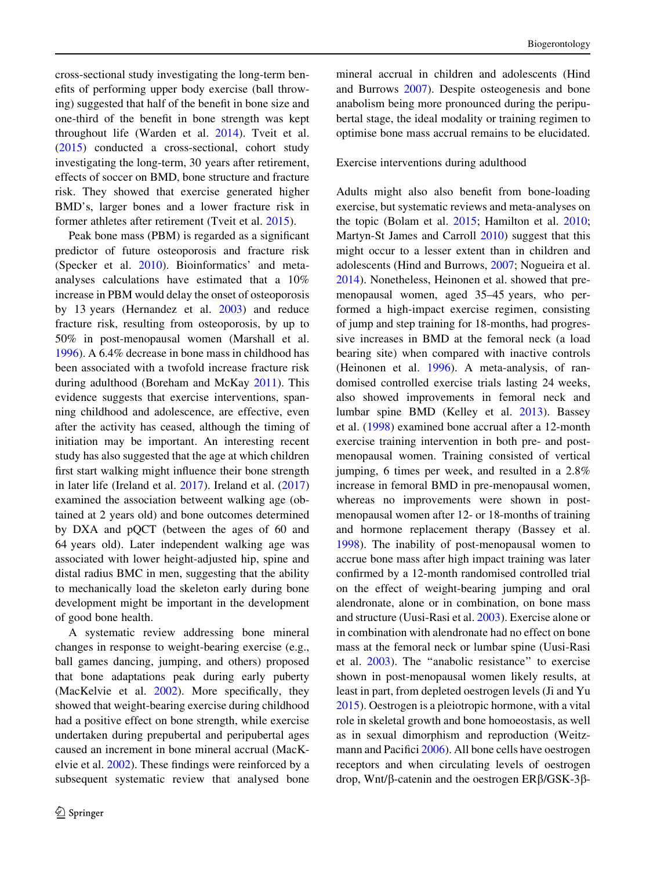cross-sectional study investigating the long-term benefits of performing upper body exercise (ball throwing) suggested that half of the benefit in bone size and one-third of the benefit in bone strength was kept throughout life (Warden et al. [2014](#page-14-0)). Tveit et al. [\(2015](#page-14-0)) conducted a cross-sectional, cohort study investigating the long-term, 30 years after retirement, effects of soccer on BMD, bone structure and fracture risk. They showed that exercise generated higher BMD's, larger bones and a lower fracture risk in former athletes after retirement (Tveit et al. [2015](#page-14-0)).

Peak bone mass (PBM) is regarded as a significant predictor of future osteoporosis and fracture risk (Specker et al. [2010](#page-14-0)). Bioinformatics' and metaanalyses calculations have estimated that a 10% increase in PBM would delay the onset of osteoporosis by 13 years (Hernandez et al. [2003](#page-12-0)) and reduce fracture risk, resulting from osteoporosis, by up to 50% in post-menopausal women (Marshall et al. [1996\)](#page-13-0). A 6.4% decrease in bone mass in childhood has been associated with a twofold increase fracture risk during adulthood (Boreham and McKay [2011](#page-11-0)). This evidence suggests that exercise interventions, spanning childhood and adolescence, are effective, even after the activity has ceased, although the timing of initiation may be important. An interesting recent study has also suggested that the age at which children first start walking might influence their bone strength in later life (Ireland et al. [2017](#page-12-0)). Ireland et al. ([2017\)](#page-12-0) examined the association betweent walking age (obtained at 2 years old) and bone outcomes determined by DXA and pQCT (between the ages of 60 and 64 years old). Later independent walking age was associated with lower height-adjusted hip, spine and distal radius BMC in men, suggesting that the ability to mechanically load the skeleton early during bone development might be important in the development of good bone health.

A systematic review addressing bone mineral changes in response to weight-bearing exercise (e.g., ball games dancing, jumping, and others) proposed that bone adaptations peak during early puberty (MacKelvie et al. [2002](#page-13-0)). More specifically, they showed that weight-bearing exercise during childhood had a positive effect on bone strength, while exercise undertaken during prepubertal and peripubertal ages caused an increment in bone mineral accrual (MacKelvie et al. [2002\)](#page-13-0). These findings were reinforced by a subsequent systematic review that analysed bone

mineral accrual in children and adolescents (Hind and Burrows [2007](#page-12-0)). Despite osteogenesis and bone anabolism being more pronounced during the peripubertal stage, the ideal modality or training regimen to optimise bone mass accrual remains to be elucidated.

## Exercise interventions during adulthood

Adults might also also benefit from bone-loading exercise, but systematic reviews and meta-analyses on the topic (Bolam et al. [2015](#page-11-0); Hamilton et al. [2010](#page-12-0); Martyn-St James and Carroll [2010](#page-13-0)) suggest that this might occur to a lesser extent than in children and adolescents (Hind and Burrows, [2007;](#page-12-0) Nogueira et al. [2014\)](#page-13-0). Nonetheless, Heinonen et al. showed that premenopausal women, aged 35–45 years, who performed a high-impact exercise regimen, consisting of jump and step training for 18-months, had progressive increases in BMD at the femoral neck (a load bearing site) when compared with inactive controls (Heinonen et al. [1996\)](#page-12-0). A meta-analysis, of randomised controlled exercise trials lasting 24 weeks, also showed improvements in femoral neck and lumbar spine BMD (Kelley et al. [2013](#page-13-0)). Bassey et al. ([1998\)](#page-11-0) examined bone accrual after a 12-month exercise training intervention in both pre- and postmenopausal women. Training consisted of vertical jumping, 6 times per week, and resulted in a 2.8% increase in femoral BMD in pre-menopausal women, whereas no improvements were shown in postmenopausal women after 12- or 18-months of training and hormone replacement therapy (Bassey et al. [1998\)](#page-11-0). The inability of post-menopausal women to accrue bone mass after high impact training was later confirmed by a 12-month randomised controlled trial on the effect of weight-bearing jumping and oral alendronate, alone or in combination, on bone mass and structure (Uusi-Rasi et al. [2003](#page-14-0)). Exercise alone or in combination with alendronate had no effect on bone mass at the femoral neck or lumbar spine (Uusi-Rasi et al. [2003\)](#page-14-0). The ''anabolic resistance'' to exercise shown in post-menopausal women likely results, at least in part, from depleted oestrogen levels (Ji and Yu [2015\)](#page-12-0). Oestrogen is a pleiotropic hormone, with a vital role in skeletal growth and bone homoeostasis, as well as in sexual dimorphism and reproduction (Weitzmann and Pacifici [2006](#page-15-0)). All bone cells have oestrogen receptors and when circulating levels of oestrogen drop, Wnt/ $\beta$ -catenin and the oestrogen ER $\beta$ /GSK-3 $\beta$ -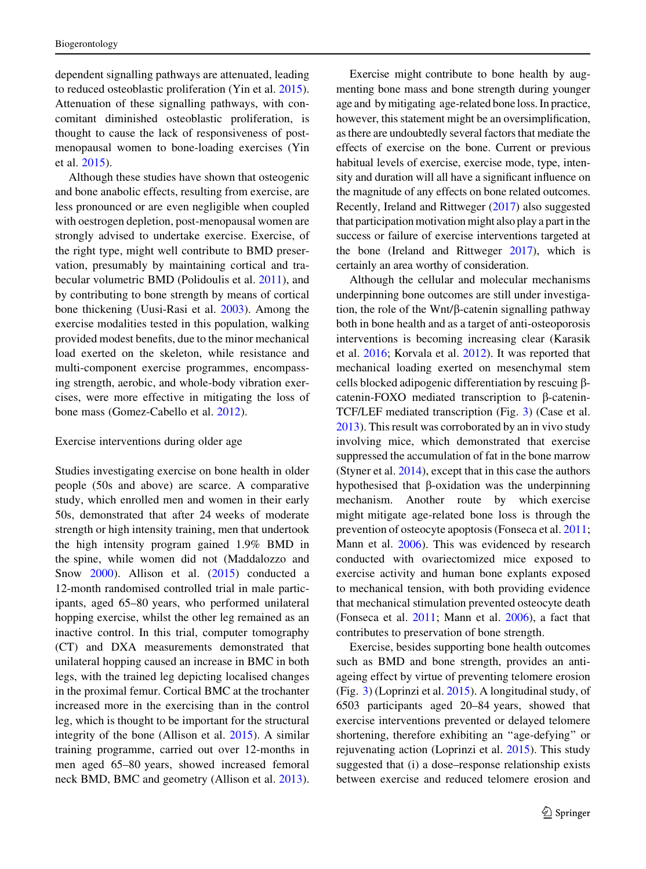dependent signalling pathways are attenuated, leading to reduced osteoblastic proliferation (Yin et al. [2015](#page-15-0)). Attenuation of these signalling pathways, with concomitant diminished osteoblastic proliferation, is thought to cause the lack of responsiveness of postmenopausal women to bone-loading exercises (Yin et al. [2015](#page-15-0)).

Although these studies have shown that osteogenic and bone anabolic effects, resulting from exercise, are less pronounced or are even negligible when coupled with oestrogen depletion, post-menopausal women are strongly advised to undertake exercise. Exercise, of the right type, might well contribute to BMD preservation, presumably by maintaining cortical and trabecular volumetric BMD (Polidoulis et al. [2011](#page-14-0)), and by contributing to bone strength by means of cortical bone thickening (Uusi-Rasi et al. [2003\)](#page-14-0). Among the exercise modalities tested in this population, walking provided modest benefits, due to the minor mechanical load exerted on the skeleton, while resistance and multi-component exercise programmes, encompassing strength, aerobic, and whole-body vibration exercises, were more effective in mitigating the loss of bone mass (Gomez-Cabello et al. [2012\)](#page-12-0).

## Exercise interventions during older age

Studies investigating exercise on bone health in older people (50s and above) are scarce. A comparative study, which enrolled men and women in their early 50s, demonstrated that after 24 weeks of moderate strength or high intensity training, men that undertook the high intensity program gained 1.9% BMD in the spine, while women did not (Maddalozzo and Snow [2000](#page-13-0)). Allison et al. [\(2015](#page-11-0)) conducted a 12-month randomised controlled trial in male participants, aged 65–80 years, who performed unilateral hopping exercise, whilst the other leg remained as an inactive control. In this trial, computer tomography (CT) and DXA measurements demonstrated that unilateral hopping caused an increase in BMC in both legs, with the trained leg depicting localised changes in the proximal femur. Cortical BMC at the trochanter increased more in the exercising than in the control leg, which is thought to be important for the structural integrity of the bone (Allison et al. [2015\)](#page-11-0). A similar training programme, carried out over 12-months in men aged 65–80 years, showed increased femoral neck BMD, BMC and geometry (Allison et al. [2013](#page-11-0)).

Exercise might contribute to bone health by augmenting bone mass and bone strength during younger age and by mitigating age-related boneloss. In practice, however, this statement might be an oversimplification, as there are undoubtedly several factors that mediate the effects of exercise on the bone. Current or previous habitual levels of exercise, exercise mode, type, intensity and duration will all have a significant influence on the magnitude of any effects on bone related outcomes. Recently, Ireland and Rittweger [\(2017\)](#page-12-0) also suggested that participation motivation might also play a partin the success or failure of exercise interventions targeted at the bone (Ireland and Rittweger [2017](#page-12-0)), which is certainly an area worthy of consideration.

Although the cellular and molecular mechanisms underpinning bone outcomes are still under investigation, the role of the Wnt/ $\beta$ -catenin signalling pathway both in bone health and as a target of anti-osteoporosis interventions is becoming increasing clear (Karasik et al. [2016;](#page-13-0) Korvala et al. [2012](#page-13-0)). It was reported that mechanical loading exerted on mesenchymal stem cells blocked adipogenic differentiation by rescuing bcatenin-FOXO mediated transcription to  $\beta$ -catenin-TCF/LEF mediated transcription (Fig. [3\)](#page-9-0) (Case et al. [2013\)](#page-11-0). This result was corroborated by an in vivo study involving mice, which demonstrated that exercise suppressed the accumulation of fat in the bone marrow (Styner et al. [2014\)](#page-14-0), except that in this case the authors hypothesised that  $\beta$ -oxidation was the underpinning mechanism. Another route by which exercise might mitigate age-related bone loss is through the prevention of osteocyte apoptosis (Fonseca et al. [2011;](#page-12-0) Mann et al. [2006](#page-13-0)). This was evidenced by research conducted with ovariectomized mice exposed to exercise activity and human bone explants exposed to mechanical tension, with both providing evidence that mechanical stimulation prevented osteocyte death (Fonseca et al. [2011;](#page-12-0) Mann et al. [2006](#page-13-0)), a fact that contributes to preservation of bone strength.

Exercise, besides supporting bone health outcomes such as BMD and bone strength, provides an antiageing effect by virtue of preventing telomere erosion (Fig. [3](#page-9-0)) (Loprinzi et al. [2015](#page-13-0)). A longitudinal study, of 6503 participants aged 20–84 years, showed that exercise interventions prevented or delayed telomere shortening, therefore exhibiting an ''age-defying'' or rejuvenating action (Loprinzi et al. [2015](#page-13-0)). This study suggested that (i) a dose–response relationship exists between exercise and reduced telomere erosion and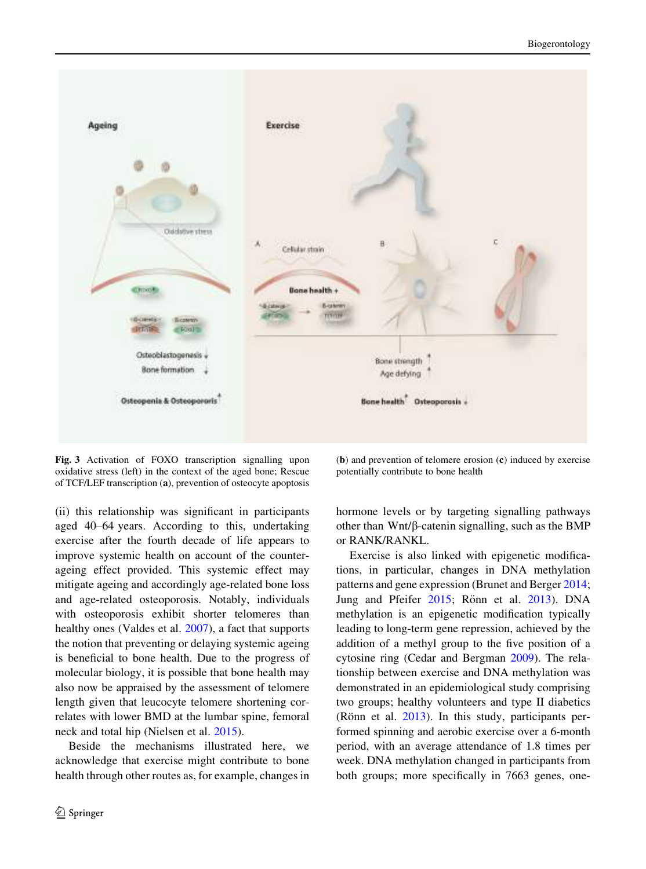<span id="page-9-0"></span>

Fig. 3 Activation of FOXO transcription signalling upon oxidative stress (left) in the context of the aged bone; Rescue of TCF/LEF transcription (a), prevention of osteocyte apoptosis

(b) and prevention of telomere erosion (c) induced by exercise potentially contribute to bone health

(ii) this relationship was significant in participants aged 40–64 years. According to this, undertaking exercise after the fourth decade of life appears to improve systemic health on account of the counterageing effect provided. This systemic effect may mitigate ageing and accordingly age-related bone loss and age-related osteoporosis. Notably, individuals with osteoporosis exhibit shorter telomeres than healthy ones (Valdes et al. [2007\)](#page-14-0), a fact that supports the notion that preventing or delaying systemic ageing is beneficial to bone health. Due to the progress of molecular biology, it is possible that bone health may also now be appraised by the assessment of telomere length given that leucocyte telomere shortening correlates with lower BMD at the lumbar spine, femoral neck and total hip (Nielsen et al. [2015](#page-14-0)).

Beside the mechanisms illustrated here, we acknowledge that exercise might contribute to bone health through other routes as, for example, changes in hormone levels or by targeting signalling pathways other than Wnt/b-catenin signalling, such as the BMP or RANK/RANKL.

Exercise is also linked with epigenetic modifications, in particular, changes in DNA methylation patterns and gene expression (Brunet and Berger [2014;](#page-11-0) Jung and Pfeifer [2015;](#page-12-0) Rönn et al. [2013](#page-14-0)). DNA methylation is an epigenetic modification typically leading to long-term gene repression, achieved by the addition of a methyl group to the five position of a cytosine ring (Cedar and Bergman [2009\)](#page-11-0). The relationship between exercise and DNA methylation was demonstrated in an epidemiological study comprising two groups; healthy volunteers and type II diabetics (Rönn et al.  $2013$ ). In this study, participants performed spinning and aerobic exercise over a 6-month period, with an average attendance of 1.8 times per week. DNA methylation changed in participants from both groups; more specifically in 7663 genes, one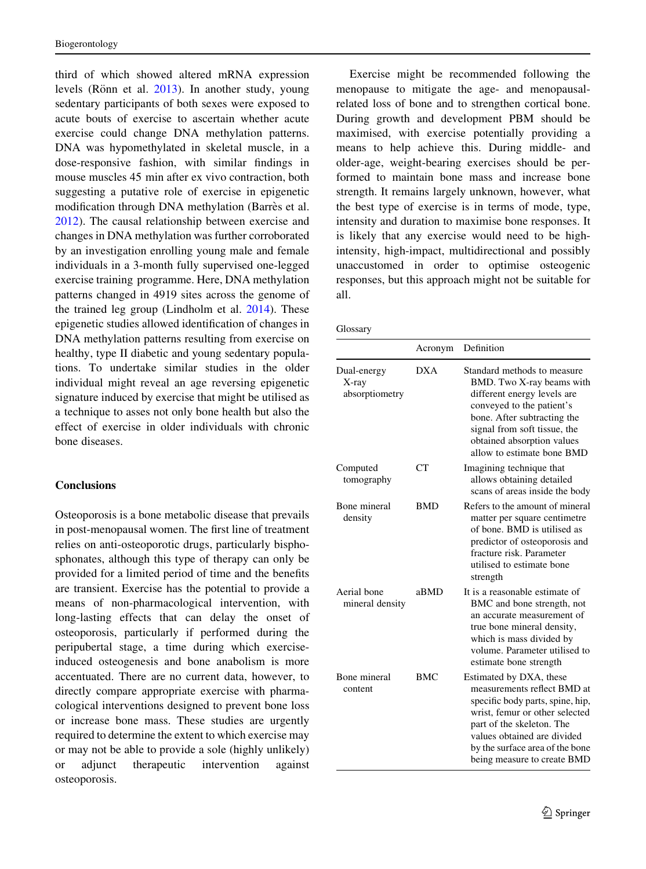third of which showed altered mRNA expression levels (Rönn et al.  $2013$ ). In another study, young sedentary participants of both sexes were exposed to acute bouts of exercise to ascertain whether acute exercise could change DNA methylation patterns. DNA was hypomethylated in skeletal muscle, in a dose-responsive fashion, with similar findings in mouse muscles 45 min after ex vivo contraction, both suggesting a putative role of exercise in epigenetic modification through DNA methylation (Barrès et al. [2012\)](#page-11-0). The causal relationship between exercise and changes in DNA methylation was further corroborated by an investigation enrolling young male and female individuals in a 3-month fully supervised one-legged exercise training programme. Here, DNA methylation patterns changed in 4919 sites across the genome of the trained leg group (Lindholm et al. [2014\)](#page-13-0). These epigenetic studies allowed identification of changes in DNA methylation patterns resulting from exercise on healthy, type II diabetic and young sedentary populations. To undertake similar studies in the older individual might reveal an age reversing epigenetic signature induced by exercise that might be utilised as a technique to asses not only bone health but also the effect of exercise in older individuals with chronic bone diseases.

### Conclusions

Osteoporosis is a bone metabolic disease that prevails in post-menopausal women. The first line of treatment relies on anti-osteoporotic drugs, particularly bisphosphonates, although this type of therapy can only be provided for a limited period of time and the benefits are transient. Exercise has the potential to provide a means of non-pharmacological intervention, with long-lasting effects that can delay the onset of osteoporosis, particularly if performed during the peripubertal stage, a time during which exerciseinduced osteogenesis and bone anabolism is more accentuated. There are no current data, however, to directly compare appropriate exercise with pharmacological interventions designed to prevent bone loss or increase bone mass. These studies are urgently required to determine the extent to which exercise may or may not be able to provide a sole (highly unlikely) or adjunct therapeutic intervention against osteoporosis.

Exercise might be recommended following the menopause to mitigate the age- and menopausalrelated loss of bone and to strengthen cortical bone. During growth and development PBM should be maximised, with exercise potentially providing a means to help achieve this. During middle- and older-age, weight-bearing exercises should be performed to maintain bone mass and increase bone strength. It remains largely unknown, however, what the best type of exercise is in terms of mode, type, intensity and duration to maximise bone responses. It is likely that any exercise would need to be highintensity, high-impact, multidirectional and possibly unaccustomed in order to optimise osteogenic responses, but this approach might not be suitable for all.

| Glossary |  |
|----------|--|
|----------|--|

|                                        | Acronym    | Definition                                                                                                                                                                                                                                                 |
|----------------------------------------|------------|------------------------------------------------------------------------------------------------------------------------------------------------------------------------------------------------------------------------------------------------------------|
| Dual-energy<br>X-ray<br>absorptiometry | <b>DXA</b> | Standard methods to measure<br>BMD. Two X-ray beams with<br>different energy levels are<br>conveyed to the patient's<br>bone. After subtracting the<br>signal from soft tissue, the<br>obtained absorption values<br>allow to estimate bone BMD            |
| Computed<br>tomography                 | CT         | Imagining technique that<br>allows obtaining detailed<br>scans of areas inside the body                                                                                                                                                                    |
| Bone mineral<br>density                | <b>BMD</b> | Refers to the amount of mineral<br>matter per square centimetre<br>of bone. BMD is utilised as<br>predictor of osteoporosis and<br>fracture risk. Parameter<br>utilised to estimate bone<br>strength                                                       |
| Aerial bone<br>mineral density         | aBMD       | It is a reasonable estimate of<br>BMC and bone strength, not<br>an accurate measurement of<br>true bone mineral density,<br>which is mass divided by<br>volume. Parameter utilised to<br>estimate bone strength                                            |
| Bone mineral<br>content                | <b>BMC</b> | Estimated by DXA, these<br>measurements reflect BMD at<br>specific body parts, spine, hip,<br>wrist, femur or other selected<br>part of the skeleton. The<br>values obtained are divided<br>by the surface area of the bone<br>being measure to create BMD |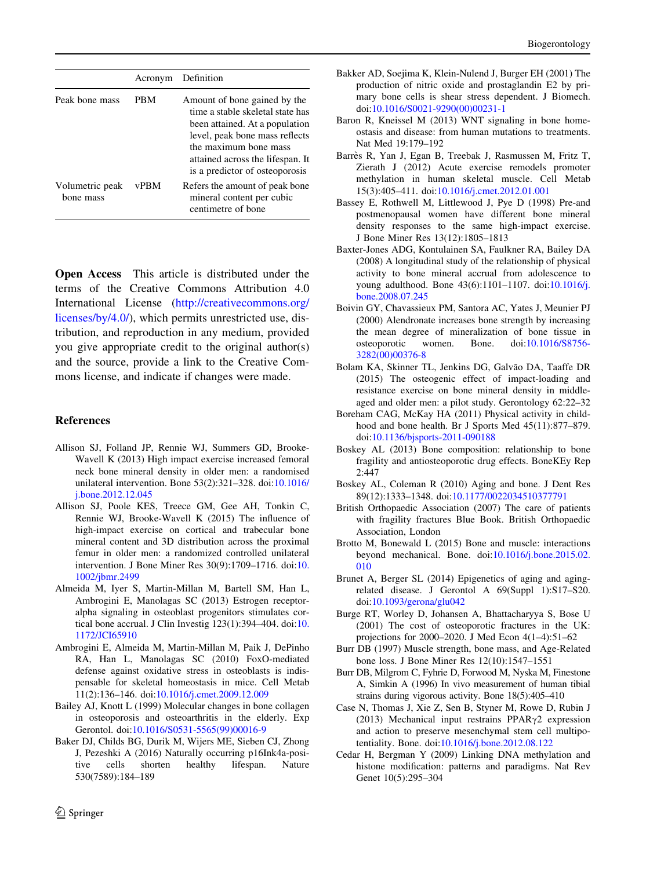| Bakker AD, Soejima K, Klein-Nulend J |
|--------------------------------------|
| production of nitric oxide and pr    |

<span id="page-11-0"></span>

|                              | Acronym | Definition                                                                                                                                                                                                                          |
|------------------------------|---------|-------------------------------------------------------------------------------------------------------------------------------------------------------------------------------------------------------------------------------------|
| Peak bone mass               | PBM     | Amount of bone gained by the<br>time a stable skeletal state has<br>been attained. At a population<br>level, peak bone mass reflects<br>the maximum bone mass<br>attained across the lifespan. It<br>is a predictor of osteoporosis |
| Volumetric peak<br>bone mass | vPBM    | Refers the amount of peak bone<br>mineral content per cubic<br>centimetre of bone                                                                                                                                                   |

Open Access This article is distributed under the terms of the Creative Commons Attribution 4.0 International License ([http://creativecommons.org/](http://creativecommons.org/licenses/by/4.0/) [licenses/by/4.0/](http://creativecommons.org/licenses/by/4.0/)), which permits unrestricted use, distribution, and reproduction in any medium, provided you give appropriate credit to the original author(s) and the source, provide a link to the Creative Commons license, and indicate if changes were made.

## References

- Allison SJ, Folland JP, Rennie WJ, Summers GD, Brooke-Wavell K (2013) High impact exercise increased femoral neck bone mineral density in older men: a randomised unilateral intervention. Bone 53(2):321–328. doi[:10.1016/](http://dx.doi.org/10.1016/j.bone.2012.12.045) [j.bone.2012.12.045](http://dx.doi.org/10.1016/j.bone.2012.12.045)
- Allison SJ, Poole KES, Treece GM, Gee AH, Tonkin C, Rennie WJ, Brooke-Wavell K (2015) The influence of high-impact exercise on cortical and trabecular bone mineral content and 3D distribution across the proximal femur in older men: a randomized controlled unilateral intervention. J Bone Miner Res 30(9):1709–1716. doi:[10.](http://dx.doi.org/10.1002/jbmr.2499) [1002/jbmr.2499](http://dx.doi.org/10.1002/jbmr.2499)
- Almeida M, Iyer S, Martin-Millan M, Bartell SM, Han L, Ambrogini E, Manolagas SC (2013) Estrogen receptoralpha signaling in osteoblast progenitors stimulates cortical bone accrual. J Clin Investig 123(1):394–404. doi:[10.](http://dx.doi.org/10.1172/JCI65910) [1172/JCI65910](http://dx.doi.org/10.1172/JCI65910)
- Ambrogini E, Almeida M, Martin-Millan M, Paik J, DePinho RA, Han L, Manolagas SC (2010) FoxO-mediated defense against oxidative stress in osteoblasts is indispensable for skeletal homeostasis in mice. Cell Metab 11(2):136–146. doi[:10.1016/j.cmet.2009.12.009](http://dx.doi.org/10.1016/j.cmet.2009.12.009)
- Bailey AJ, Knott L (1999) Molecular changes in bone collagen in osteoporosis and osteoarthritis in the elderly. Exp Gerontol. doi[:10.1016/S0531-5565\(99\)00016-9](http://dx.doi.org/10.1016/S0531-5565(99)00016-9)
- Baker DJ, Childs BG, Durik M, Wijers ME, Sieben CJ, Zhong J, Pezeshki A (2016) Naturally occurring p16Ink4a-positive cells shorten healthy lifespan. Nature 530(7589):184–189

Biogerontology

, Burger EH (2001) The

- rostaglandin E2 by primary bone cells is shear stress dependent. J Biomech. doi[:10.1016/S0021-9290\(00\)00231-1](http://dx.doi.org/10.1016/S0021-9290(00)00231-1) Baron R, Kneissel M (2013) WNT signaling in bone home-
- ostasis and disease: from human mutations to treatments. Nat Med 19:179–192
- Barrès R, Yan J, Egan B, Treebak J, Rasmussen M, Fritz T, Zierath J (2012) Acute exercise remodels promoter methylation in human skeletal muscle. Cell Metab 15(3):405–411. doi[:10.1016/j.cmet.2012.01.001](http://dx.doi.org/10.1016/j.cmet.2012.01.001)
- Bassey E, Rothwell M, Littlewood J, Pye D (1998) Pre-and postmenopausal women have different bone mineral density responses to the same high-impact exercise. J Bone Miner Res 13(12):1805–1813
- Baxter-Jones ADG, Kontulainen SA, Faulkner RA, Bailey DA (2008) A longitudinal study of the relationship of physical activity to bone mineral accrual from adolescence to young adulthood. Bone 43(6):1101–1107. doi:[10.1016/j.](http://dx.doi.org/10.1016/j.bone.2008.07.245) [bone.2008.07.245](http://dx.doi.org/10.1016/j.bone.2008.07.245)
- Boivin GY, Chavassieux PM, Santora AC, Yates J, Meunier PJ (2000) Alendronate increases bone strength by increasing the mean degree of mineralization of bone tissue in osteoporotic women. Bone. doi:[10.1016/S8756-](http://dx.doi.org/10.1016/S8756-3282(00)00376-8) [3282\(00\)00376-8](http://dx.doi.org/10.1016/S8756-3282(00)00376-8)
- Bolam KA, Skinner TL, Jenkins DG, Galvão DA, Taaffe DR (2015) The osteogenic effect of impact-loading and resistance exercise on bone mineral density in middleaged and older men: a pilot study. Gerontology 62:22–32
- Boreham CAG, McKay HA (2011) Physical activity in childhood and bone health. Br J Sports Med 45(11):877–879. doi[:10.1136/bjsports-2011-090188](http://dx.doi.org/10.1136/bjsports-2011-090188)
- Boskey AL (2013) Bone composition: relationship to bone fragility and antiosteoporotic drug effects. BoneKEy Rep 2:447
- Boskey AL, Coleman R (2010) Aging and bone. J Dent Res 89(12):1333–1348. doi[:10.1177/0022034510377791](http://dx.doi.org/10.1177/0022034510377791)
- British Orthopaedic Association (2007) The care of patients with fragility fractures Blue Book. British Orthopaedic Association, London
- Brotto M, Bonewald L (2015) Bone and muscle: interactions beyond mechanical. Bone. doi:[10.1016/j.bone.2015.02.](http://dx.doi.org/10.1016/j.bone.2015.02.010) [010](http://dx.doi.org/10.1016/j.bone.2015.02.010)
- Brunet A, Berger SL (2014) Epigenetics of aging and agingrelated disease. J Gerontol A 69(Suppl 1):S17–S20. doi[:10.1093/gerona/glu042](http://dx.doi.org/10.1093/gerona/glu042)
- Burge RT, Worley D, Johansen A, Bhattacharyya S, Bose U (2001) The cost of osteoporotic fractures in the UK: projections for 2000–2020. J Med Econ 4(1–4):51–62
- Burr DB (1997) Muscle strength, bone mass, and Age-Related bone loss. J Bone Miner Res 12(10):1547–1551
- Burr DB, Milgrom C, Fyhrie D, Forwood M, Nyska M, Finestone A, Simkin A (1996) In vivo measurement of human tibial strains during vigorous activity. Bone 18(5):405–410
- Case N, Thomas J, Xie Z, Sen B, Styner M, Rowe D, Rubin J (2013) Mechanical input restrains  $PPAR\gamma2$  expression and action to preserve mesenchymal stem cell multipotentiality. Bone. doi[:10.1016/j.bone.2012.08.122](http://dx.doi.org/10.1016/j.bone.2012.08.122)
- Cedar H, Bergman Y (2009) Linking DNA methylation and histone modification: patterns and paradigms. Nat Rev Genet 10(5):295–304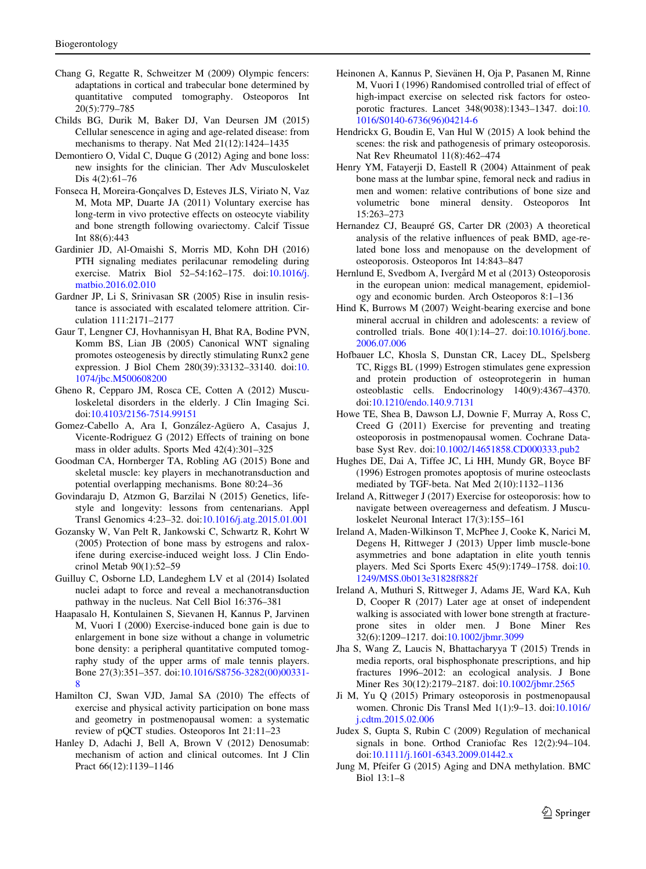- <span id="page-12-0"></span>Chang G, Regatte R, Schweitzer M (2009) Olympic fencers: adaptations in cortical and trabecular bone determined by quantitative computed tomography. Osteoporos Int 20(5):779–785
- Childs BG, Durik M, Baker DJ, Van Deursen JM (2015) Cellular senescence in aging and age-related disease: from mechanisms to therapy. Nat Med 21(12):1424–1435
- Demontiero O, Vidal C, Duque G (2012) Aging and bone loss: new insights for the clinician. Ther Adv Musculoskelet Dis 4(2):61–76
- Fonseca H, Moreira-Gonçalves D, Esteves JLS, Viriato N, Vaz M, Mota MP, Duarte JA (2011) Voluntary exercise has long-term in vivo protective effects on osteocyte viability and bone strength following ovariectomy. Calcif Tissue Int 88(6):443
- Gardinier JD, Al-Omaishi S, Morris MD, Kohn DH (2016) PTH signaling mediates perilacunar remodeling during exercise. Matrix Biol 52–54:162–175. doi:[10.1016/j.](http://dx.doi.org/10.1016/j.matbio.2016.02.010) [matbio.2016.02.010](http://dx.doi.org/10.1016/j.matbio.2016.02.010)
- Gardner JP, Li S, Srinivasan SR (2005) Rise in insulin resistance is associated with escalated telomere attrition. Circulation 111:2171–2177
- Gaur T, Lengner CJ, Hovhannisyan H, Bhat RA, Bodine PVN, Komm BS, Lian JB (2005) Canonical WNT signaling promotes osteogenesis by directly stimulating Runx2 gene expression. J Biol Chem 280(39):33132–33140. doi:[10.](http://dx.doi.org/10.1074/jbc.M500608200) [1074/jbc.M500608200](http://dx.doi.org/10.1074/jbc.M500608200)
- Gheno R, Cepparo JM, Rosca CE, Cotten A (2012) Musculoskeletal disorders in the elderly. J Clin Imaging Sci. doi[:10.4103/2156-7514.99151](http://dx.doi.org/10.4103/2156-7514.99151)
- Gomez-Cabello A, Ara I, González-Agüero A, Casajus J, Vicente-Rodriguez G (2012) Effects of training on bone mass in older adults. Sports Med 42(4):301–325
- Goodman CA, Hornberger TA, Robling AG (2015) Bone and skeletal muscle: key players in mechanotransduction and potential overlapping mechanisms. Bone 80:24–36
- Govindaraju D, Atzmon G, Barzilai N (2015) Genetics, lifestyle and longevity: lessons from centenarians. Appl Transl Genomics 4:23–32. doi[:10.1016/j.atg.2015.01.001](http://dx.doi.org/10.1016/j.atg.2015.01.001)
- Gozansky W, Van Pelt R, Jankowski C, Schwartz R, Kohrt W (2005) Protection of bone mass by estrogens and raloxifene during exercise-induced weight loss. J Clin Endocrinol Metab 90(1):52–59
- Guilluy C, Osborne LD, Landeghem LV et al (2014) Isolated nuclei adapt to force and reveal a mechanotransduction pathway in the nucleus. Nat Cell Biol 16:376–381
- Haapasalo H, Kontulainen S, Sievanen H, Kannus P, Jarvinen M, Vuori I (2000) Exercise-induced bone gain is due to enlargement in bone size without a change in volumetric bone density: a peripheral quantitative computed tomography study of the upper arms of male tennis players. Bone 27(3):351–357. doi:[10.1016/S8756-3282\(00\)00331-](http://dx.doi.org/10.1016/S8756-3282(00)00331-8) [8](http://dx.doi.org/10.1016/S8756-3282(00)00331-8)
- Hamilton CJ, Swan VJD, Jamal SA (2010) The effects of exercise and physical activity participation on bone mass and geometry in postmenopausal women: a systematic review of pQCT studies. Osteoporos Int 21:11–23
- Hanley D, Adachi J, Bell A, Brown V (2012) Denosumab: mechanism of action and clinical outcomes. Int J Clin Pract 66(12):1139–1146
- Heinonen A, Kannus P, Sievänen H, Oja P, Pasanen M, Rinne M, Vuori I (1996) Randomised controlled trial of effect of high-impact exercise on selected risk factors for osteoporotic fractures. Lancet 348(9038):1343–1347. doi:[10.](http://dx.doi.org/10.1016/S0140-6736(96)04214-6) [1016/S0140-6736\(96\)04214-6](http://dx.doi.org/10.1016/S0140-6736(96)04214-6)
- Hendrickx G, Boudin E, Van Hul W (2015) A look behind the scenes: the risk and pathogenesis of primary osteoporosis. Nat Rev Rheumatol 11(8):462–474
- Henry YM, Fatayerji D, Eastell R (2004) Attainment of peak bone mass at the lumbar spine, femoral neck and radius in men and women: relative contributions of bone size and volumetric bone mineral density. Osteoporos Int 15:263–273
- Hernandez CJ, Beaupré GS, Carter DR (2003) A theoretical analysis of the relative influences of peak BMD, age-related bone loss and menopause on the development of osteoporosis. Osteoporos Int 14:843–847
- Hernlund E, Svedbom A, Ivergård M et al (2013) Osteoporosis in the european union: medical management, epidemiology and economic burden. Arch Osteoporos 8:1–136
- Hind K, Burrows M (2007) Weight-bearing exercise and bone mineral accrual in children and adolescents: a review of controlled trials. Bone 40(1):14–27. doi[:10.1016/j.bone.](http://dx.doi.org/10.1016/j.bone.2006.07.006) [2006.07.006](http://dx.doi.org/10.1016/j.bone.2006.07.006)
- Hofbauer LC, Khosla S, Dunstan CR, Lacey DL, Spelsberg TC, Riggs BL (1999) Estrogen stimulates gene expression and protein production of osteoprotegerin in human osteoblastic cells. Endocrinology 140(9):4367–4370. doi[:10.1210/endo.140.9.7131](http://dx.doi.org/10.1210/endo.140.9.7131)
- Howe TE, Shea B, Dawson LJ, Downie F, Murray A, Ross C, Creed G (2011) Exercise for preventing and treating osteoporosis in postmenopausal women. Cochrane Database Syst Rev. doi[:10.1002/14651858.CD000333.pub2](http://dx.doi.org/10.1002/14651858.CD000333.pub2)
- Hughes DE, Dai A, Tiffee JC, Li HH, Mundy GR, Boyce BF (1996) Estrogen promotes apoptosis of murine osteoclasts mediated by TGF-beta. Nat Med 2(10):1132–1136
- Ireland A, Rittweger J (2017) Exercise for osteoporosis: how to navigate between overeagerness and defeatism. J Musculoskelet Neuronal Interact 17(3):155–161
- Ireland A, Maden-Wilkinson T, McPhee J, Cooke K, Narici M, Degens H, Rittweger J (2013) Upper limb muscle-bone asymmetries and bone adaptation in elite youth tennis players. Med Sci Sports Exerc 45(9):1749–1758. doi:[10.](http://dx.doi.org/10.1249/MSS.0b013e31828f882f) [1249/MSS.0b013e31828f882f](http://dx.doi.org/10.1249/MSS.0b013e31828f882f)
- Ireland A, Muthuri S, Rittweger J, Adams JE, Ward KA, Kuh D, Cooper R (2017) Later age at onset of independent walking is associated with lower bone strength at fractureprone sites in older men. J Bone Miner Res 32(6):1209–1217. doi:[10.1002/jbmr.3099](http://dx.doi.org/10.1002/jbmr.3099)
- Jha S, Wang Z, Laucis N, Bhattacharyya T (2015) Trends in media reports, oral bisphosphonate prescriptions, and hip fractures 1996–2012: an ecological analysis. J Bone Miner Res 30(12):2179-2187. doi[:10.1002/jbmr.2565](http://dx.doi.org/10.1002/jbmr.2565)
- Ji M, Yu Q (2015) Primary osteoporosis in postmenopausal women. Chronic Dis Transl Med 1(1):9–13. doi[:10.1016/](http://dx.doi.org/10.1016/j.cdtm.2015.02.006) [j.cdtm.2015.02.006](http://dx.doi.org/10.1016/j.cdtm.2015.02.006)
- Judex S, Gupta S, Rubin C (2009) Regulation of mechanical signals in bone. Orthod Craniofac Res 12(2):94–104. doi[:10.1111/j.1601-6343.2009.01442.x](http://dx.doi.org/10.1111/j.1601-6343.2009.01442.x)
- Jung M, Pfeifer G (2015) Aging and DNA methylation. BMC Biol 13:1–8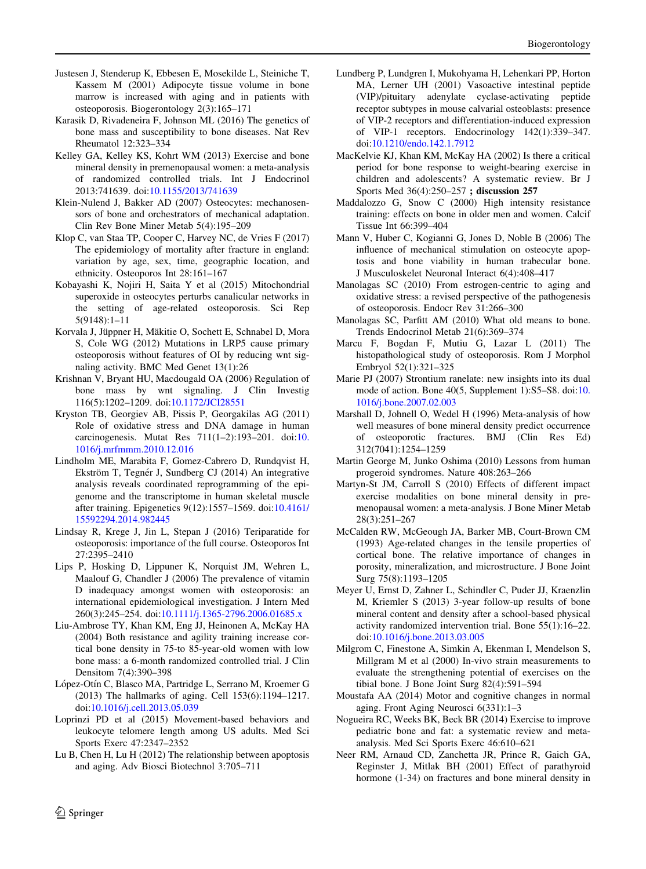- <span id="page-13-0"></span>Justesen J, Stenderup K, Ebbesen E, Mosekilde L, Steiniche T, Kassem M (2001) Adipocyte tissue volume in bone marrow is increased with aging and in patients with osteoporosis. Biogerontology 2(3):165–171
- Karasik D, Rivadeneira F, Johnson ML (2016) The genetics of bone mass and susceptibility to bone diseases. Nat Rev Rheumatol 12:323–334
- Kelley GA, Kelley KS, Kohrt WM (2013) Exercise and bone mineral density in premenopausal women: a meta-analysis of randomized controlled trials. Int J Endocrinol 2013:741639. doi:[10.1155/2013/741639](http://dx.doi.org/10.1155/2013/741639)
- Klein-Nulend J, Bakker AD (2007) Osteocytes: mechanosensors of bone and orchestrators of mechanical adaptation. Clin Rev Bone Miner Metab 5(4):195–209
- Klop C, van Staa TP, Cooper C, Harvey NC, de Vries F (2017) The epidemiology of mortality after fracture in england: variation by age, sex, time, geographic location, and ethnicity. Osteoporos Int 28:161–167
- Kobayashi K, Nojiri H, Saita Y et al (2015) Mitochondrial superoxide in osteocytes perturbs canalicular networks in the setting of age-related osteoporosis. Sci Rep 5(9148):1–11
- Korvala J, Jüppner H, Mäkitie O, Sochett E, Schnabel D, Mora S, Cole WG (2012) Mutations in LRP5 cause primary osteoporosis without features of OI by reducing wnt signaling activity. BMC Med Genet 13(1):26
- Krishnan V, Bryant HU, Macdougald OA (2006) Regulation of bone mass by wnt signaling. J Clin Investig 116(5):1202–1209. doi[:10.1172/JCI28551](http://dx.doi.org/10.1172/JCI28551)
- Kryston TB, Georgiev AB, Pissis P, Georgakilas AG (2011) Role of oxidative stress and DNA damage in human carcinogenesis. Mutat Res 711(1–2):193–201. doi:[10.](http://dx.doi.org/10.1016/j.mrfmmm.2010.12.016) [1016/j.mrfmmm.2010.12.016](http://dx.doi.org/10.1016/j.mrfmmm.2010.12.016)
- Lindholm ME, Marabita F, Gomez-Cabrero D, Rundqvist H, Ekström T, Tegnér J, Sundberg CJ (2014) An integrative analysis reveals coordinated reprogramming of the epigenome and the transcriptome in human skeletal muscle after training. Epigenetics 9(12):1557–1569. doi[:10.4161/](http://dx.doi.org/10.4161/15592294.2014.982445) [15592294.2014.982445](http://dx.doi.org/10.4161/15592294.2014.982445)
- Lindsay R, Krege J, Jin L, Stepan J (2016) Teriparatide for osteoporosis: importance of the full course. Osteoporos Int 27:2395–2410
- Lips P, Hosking D, Lippuner K, Norquist JM, Wehren L, Maalouf G, Chandler J (2006) The prevalence of vitamin D inadequacy amongst women with osteoporosis: an international epidemiological investigation. J Intern Med 260(3):245–254. doi:[10.1111/j.1365-2796.2006.01685.x](http://dx.doi.org/10.1111/j.1365-2796.2006.01685.x)
- Liu-Ambrose TY, Khan KM, Eng JJ, Heinonen A, McKay HA (2004) Both resistance and agility training increase cortical bone density in 75-to 85-year-old women with low bone mass: a 6-month randomized controlled trial. J Clin Densitom 7(4):390–398
- López-Otín C, Blasco MA, Partridge L, Serrano M, Kroemer G (2013) The hallmarks of aging. Cell 153(6):1194–1217. doi[:10.1016/j.cell.2013.05.039](http://dx.doi.org/10.1016/j.cell.2013.05.039)
- Loprinzi PD et al (2015) Movement-based behaviors and leukocyte telomere length among US adults. Med Sci Sports Exerc 47:2347–2352
- Lu B, Chen H, Lu H (2012) The relationship between apoptosis and aging. Adv Biosci Biotechnol 3:705–711
- Lundberg P, Lundgren I, Mukohyama H, Lehenkari PP, Horton MA, Lerner UH (2001) Vasoactive intestinal peptide (VIP)/pituitary adenylate cyclase-activating peptide receptor subtypes in mouse calvarial osteoblasts: presence of VIP-2 receptors and differentiation-induced expression of VIP-1 receptors. Endocrinology 142(1):339–347. doi[:10.1210/endo.142.1.7912](http://dx.doi.org/10.1210/endo.142.1.7912)
- MacKelvie KJ, Khan KM, McKay HA (2002) Is there a critical period for bone response to weight-bearing exercise in children and adolescents? A systematic review. Br J Sports Med 36(4):250–257 ; discussion 257
- Maddalozzo G, Snow C (2000) High intensity resistance training: effects on bone in older men and women. Calcif Tissue Int 66:399–404
- Mann V, Huber C, Kogianni G, Jones D, Noble B (2006) The influence of mechanical stimulation on osteocyte apoptosis and bone viability in human trabecular bone. J Musculoskelet Neuronal Interact 6(4):408–417
- Manolagas SC (2010) From estrogen-centric to aging and oxidative stress: a revised perspective of the pathogenesis of osteoporosis. Endocr Rev 31:266–300
- Manolagas SC, Parfitt AM (2010) What old means to bone. Trends Endocrinol Metab 21(6):369–374
- Marcu F, Bogdan F, Mutiu G, Lazar L (2011) The histopathological study of osteoporosis. Rom J Morphol Embryol 52(1):321–325
- Marie PJ (2007) Strontium ranelate: new insights into its dual mode of action. Bone 40(5, Supplement 1):S5–S8. doi:[10.](http://dx.doi.org/10.1016/j.bone.2007.02.003) [1016/j.bone.2007.02.003](http://dx.doi.org/10.1016/j.bone.2007.02.003)
- Marshall D, Johnell O, Wedel H (1996) Meta-analysis of how well measures of bone mineral density predict occurrence of osteoporotic fractures. BMJ (Clin Res Ed) 312(7041):1254–1259
- Martin George M, Junko Oshima (2010) Lessons from human progeroid syndromes. Nature 408:263–266
- Martyn-St JM, Carroll S (2010) Effects of different impact exercise modalities on bone mineral density in premenopausal women: a meta-analysis. J Bone Miner Metab 28(3):251–267
- McCalden RW, McGeough JA, Barker MB, Court-Brown CM (1993) Age-related changes in the tensile properties of cortical bone. The relative importance of changes in porosity, mineralization, and microstructure. J Bone Joint Surg 75(8):1193–1205
- Meyer U, Ernst D, Zahner L, Schindler C, Puder JJ, Kraenzlin M, Kriemler S (2013) 3-year follow-up results of bone mineral content and density after a school-based physical activity randomized intervention trial. Bone 55(1):16–22. doi[:10.1016/j.bone.2013.03.005](http://dx.doi.org/10.1016/j.bone.2013.03.005)
- Milgrom C, Finestone A, Simkin A, Ekenman I, Mendelson S, Millgram M et al (2000) In-vivo strain measurements to evaluate the strengthening potential of exercises on the tibial bone. J Bone Joint Surg 82(4):591–594
- Moustafa AA (2014) Motor and cognitive changes in normal aging. Front Aging Neurosci 6(331):1–3
- Nogueira RC, Weeks BK, Beck BR (2014) Exercise to improve pediatric bone and fat: a systematic review and metaanalysis. Med Sci Sports Exerc 46:610–621
- Neer RM, Arnaud CD, Zanchetta JR, Prince R, Gaich GA, Reginster J, Mitlak BH (2001) Effect of parathyroid hormone (1-34) on fractures and bone mineral density in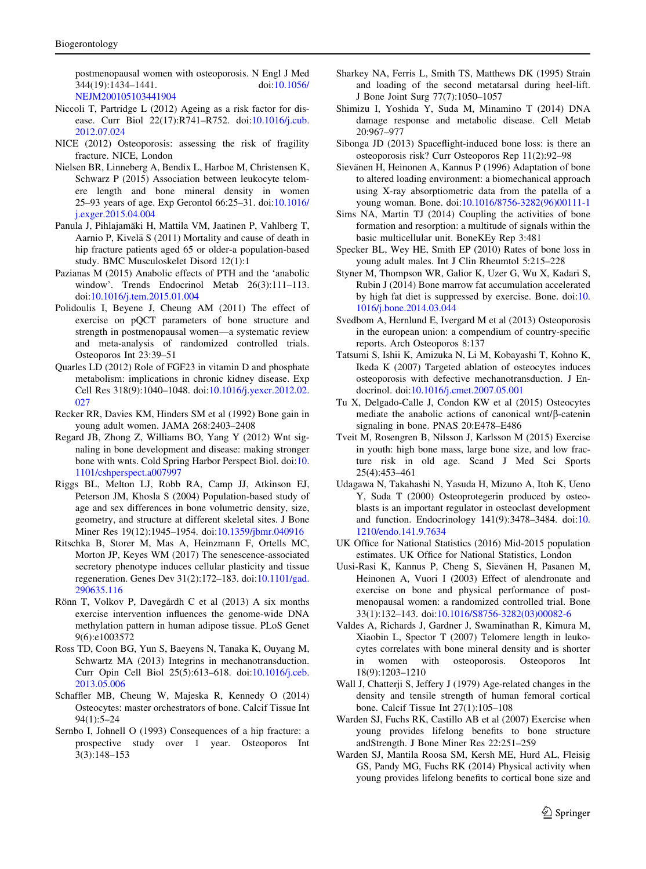<span id="page-14-0"></span>postmenopausal women with osteoporosis. N Engl J Med 344(19):1434–1441. doi[:10.1056/](http://dx.doi.org/10.1056/NEJM200105103441904) [NEJM200105103441904](http://dx.doi.org/10.1056/NEJM200105103441904)

- Niccoli T, Partridge L (2012) Ageing as a risk factor for disease. Curr Biol 22(17):R741–R752. doi[:10.1016/j.cub.](http://dx.doi.org/10.1016/j.cub.2012.07.024) [2012.07.024](http://dx.doi.org/10.1016/j.cub.2012.07.024)
- NICE (2012) Osteoporosis: assessing the risk of fragility fracture. NICE, London
- Nielsen BR, Linneberg A, Bendix L, Harboe M, Christensen K, Schwarz P (2015) Association between leukocyte telomere length and bone mineral density in women 25–93 years of age. Exp Gerontol 66:25–31. doi[:10.1016/](http://dx.doi.org/10.1016/j.exger.2015.04.004) [j.exger.2015.04.004](http://dx.doi.org/10.1016/j.exger.2015.04.004)
- Panula J, Pihlajamäki H, Mattila VM, Jaatinen P, Vahlberg T, Aarnio P, Kivelä S (2011) Mortality and cause of death in hip fracture patients aged 65 or older-a population-based study. BMC Musculoskelet Disord 12(1):1
- Pazianas M (2015) Anabolic effects of PTH and the 'anabolic window'. Trends Endocrinol Metab 26(3):111-113. doi[:10.1016/j.tem.2015.01.004](http://dx.doi.org/10.1016/j.tem.2015.01.004)
- Polidoulis I, Beyene J, Cheung AM (2011) The effect of exercise on pQCT parameters of bone structure and strength in postmenopausal women—a systematic review and meta-analysis of randomized controlled trials. Osteoporos Int 23:39–51
- Quarles LD (2012) Role of FGF23 in vitamin D and phosphate metabolism: implications in chronic kidney disease. Exp Cell Res 318(9):1040–1048. doi[:10.1016/j.yexcr.2012.02.](http://dx.doi.org/10.1016/j.yexcr.2012.02.027) [027](http://dx.doi.org/10.1016/j.yexcr.2012.02.027)
- Recker RR, Davies KM, Hinders SM et al (1992) Bone gain in young adult women. JAMA 268:2403–2408
- Regard JB, Zhong Z, Williams BO, Yang Y (2012) Wnt signaling in bone development and disease: making stronger bone with wnts. Cold Spring Harbor Perspect Biol. doi:[10.](http://dx.doi.org/10.1101/cshperspect.a007997) [1101/cshperspect.a007997](http://dx.doi.org/10.1101/cshperspect.a007997)
- Riggs BL, Melton LJ, Robb RA, Camp JJ, Atkinson EJ, Peterson JM, Khosla S (2004) Population-based study of age and sex differences in bone volumetric density, size, geometry, and structure at different skeletal sites. J Bone Miner Res 19(12):1945–1954. doi[:10.1359/jbmr.040916](http://dx.doi.org/10.1359/jbmr.040916)
- Ritschka B, Storer M, Mas A, Heinzmann F, Ortells MC, Morton JP, Keyes WM (2017) The senescence-associated secretory phenotype induces cellular plasticity and tissue regeneration. Genes Dev 31(2):172–183. doi:[10.1101/gad.](http://dx.doi.org/10.1101/gad.290635.116) [290635.116](http://dx.doi.org/10.1101/gad.290635.116)
- Rönn T, Volkov P, Davegårdh C et al (2013) A six months exercise intervention influences the genome-wide DNA methylation pattern in human adipose tissue. PLoS Genet 9(6):e1003572
- Ross TD, Coon BG, Yun S, Baeyens N, Tanaka K, Ouyang M, Schwartz MA (2013) Integrins in mechanotransduction. Curr Opin Cell Biol 25(5):613–618. doi:[10.1016/j.ceb.](http://dx.doi.org/10.1016/j.ceb.2013.05.006) [2013.05.006](http://dx.doi.org/10.1016/j.ceb.2013.05.006)
- Schaffler MB, Cheung W, Majeska R, Kennedy O (2014) Osteocytes: master orchestrators of bone. Calcif Tissue Int 94(1):5–24
- Sernbo I, Johnell O (1993) Consequences of a hip fracture: a prospective study over 1 year. Osteoporos Int 3(3):148–153
- Sharkey NA, Ferris L, Smith TS, Matthews DK (1995) Strain and loading of the second metatarsal during heel-lift. J Bone Joint Surg 77(7):1050–1057
- Shimizu I, Yoshida Y, Suda M, Minamino T (2014) DNA damage response and metabolic disease. Cell Metab 20:967–977
- Sibonga JD (2013) Spaceflight-induced bone loss: is there an osteoporosis risk? Curr Osteoporos Rep 11(2):92–98
- Sievänen H, Heinonen A, Kannus P (1996) Adaptation of bone to altered loading environment: a biomechanical approach using X-ray absorptiometric data from the patella of a young woman. Bone. doi[:10.1016/8756-3282\(96\)00111-1](http://dx.doi.org/10.1016/8756-3282(96)00111-1)
- Sims NA, Martin TJ (2014) Coupling the activities of bone formation and resorption: a multitude of signals within the basic multicellular unit. BoneKEy Rep 3:481
- Specker BL, Wey HE, Smith EP (2010) Rates of bone loss in young adult males. Int J Clin Rheumtol 5:215–228
- Styner M, Thompson WR, Galior K, Uzer G, Wu X, Kadari S, Rubin J (2014) Bone marrow fat accumulation accelerated by high fat diet is suppressed by exercise. Bone. doi:[10.](http://dx.doi.org/10.1016/j.bone.2014.03.044) [1016/j.bone.2014.03.044](http://dx.doi.org/10.1016/j.bone.2014.03.044)
- Svedbom A, Hernlund E, Ivergard M et al (2013) Osteoporosis in the european union: a compendium of country-specific reports. Arch Osteoporos 8:137
- Tatsumi S, Ishii K, Amizuka N, Li M, Kobayashi T, Kohno K, Ikeda K (2007) Targeted ablation of osteocytes induces osteoporosis with defective mechanotransduction. J Endocrinol. doi[:10.1016/j.cmet.2007.05.001](http://dx.doi.org/10.1016/j.cmet.2007.05.001)
- Tu X, Delgado-Calle J, Condon KW et al (2015) Osteocytes mediate the anabolic actions of canonical wnt/ $\beta$ -catenin signaling in bone. PNAS 20:E478–E486
- Tveit M, Rosengren B, Nilsson J, Karlsson M (2015) Exercise in youth: high bone mass, large bone size, and low fracture risk in old age. Scand J Med Sci Sports 25(4):453–461
- Udagawa N, Takahashi N, Yasuda H, Mizuno A, Itoh K, Ueno Y, Suda T (2000) Osteoprotegerin produced by osteoblasts is an important regulator in osteoclast development and function. Endocrinology 141(9):3478–3484. doi:[10.](http://dx.doi.org/10.1210/endo.141.9.7634) [1210/endo.141.9.7634](http://dx.doi.org/10.1210/endo.141.9.7634)
- UK Office for National Statistics (2016) Mid-2015 population estimates. UK Office for National Statistics, London
- Uusi-Rasi K, Kannus P, Cheng S, Sievänen H, Pasanen M, Heinonen A, Vuori I (2003) Effect of alendronate and exercise on bone and physical performance of postmenopausal women: a randomized controlled trial. Bone 33(1):132–143. doi[:10.1016/S8756-3282\(03\)00082-6](http://dx.doi.org/10.1016/S8756-3282(03)00082-6)
- Valdes A, Richards J, Gardner J, Swaminathan R, Kimura M, Xiaobin L, Spector T (2007) Telomere length in leukocytes correlates with bone mineral density and is shorter in women with osteoporosis. Osteoporos Int 18(9):1203–1210
- Wall J, Chatterji S, Jeffery J (1979) Age-related changes in the density and tensile strength of human femoral cortical bone. Calcif Tissue Int 27(1):105–108
- Warden SJ, Fuchs RK, Castillo AB et al (2007) Exercise when young provides lifelong benefits to bone structure andStrength. J Bone Miner Res 22:251–259
- Warden SJ, Mantila Roosa SM, Kersh ME, Hurd AL, Fleisig GS, Pandy MG, Fuchs RK (2014) Physical activity when young provides lifelong benefits to cortical bone size and